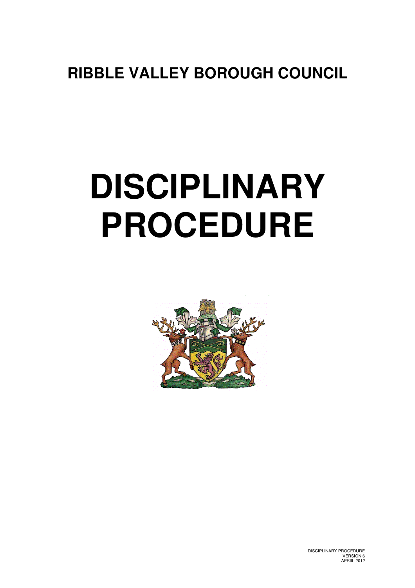# **RIBBLE VALLEY BOROUGH COUNCIL**

# **DISCIPLINARY PROCEDURE**



DISCIPLINARY PROCEDURE VERSION 6 APRIIL 2012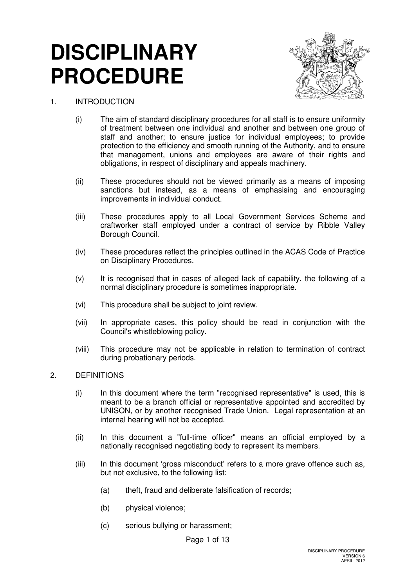# **DISCIPLINARY PROCEDURE**



# 1. INTRODUCTION

- (i) The aim of standard disciplinary procedures for all staff is to ensure uniformity of treatment between one individual and another and between one group of staff and another; to ensure justice for individual employees; to provide protection to the efficiency and smooth running of the Authority, and to ensure that management, unions and employees are aware of their rights and obligations, in respect of disciplinary and appeals machinery.
- (ii) These procedures should not be viewed primarily as a means of imposing sanctions but instead, as a means of emphasising and encouraging improvements in individual conduct.
- (iii) These procedures apply to all Local Government Services Scheme and craftworker staff employed under a contract of service by Ribble Valley Borough Council.
- (iv) These procedures reflect the principles outlined in the ACAS Code of Practice on Disciplinary Procedures.
- (v) It is recognised that in cases of alleged lack of capability, the following of a normal disciplinary procedure is sometimes inappropriate.
- (vi) This procedure shall be subject to joint review.
- (vii) In appropriate cases, this policy should be read in conjunction with the Council's whistleblowing policy.
- (viii) This procedure may not be applicable in relation to termination of contract during probationary periods.
- 2. DEFINITIONS
	- (i) In this document where the term "recognised representative" is used, this is meant to be a branch official or representative appointed and accredited by UNISON, or by another recognised Trade Union. Legal representation at an internal hearing will not be accepted.
	- (ii) In this document a "full-time officer" means an official employed by a nationally recognised negotiating body to represent its members.
	- (iii) In this document 'gross misconduct' refers to a more grave offence such as, but not exclusive, to the following list:
		- (a) theft, fraud and deliberate falsification of records;
		- (b) physical violence;
		- (c) serious bullying or harassment;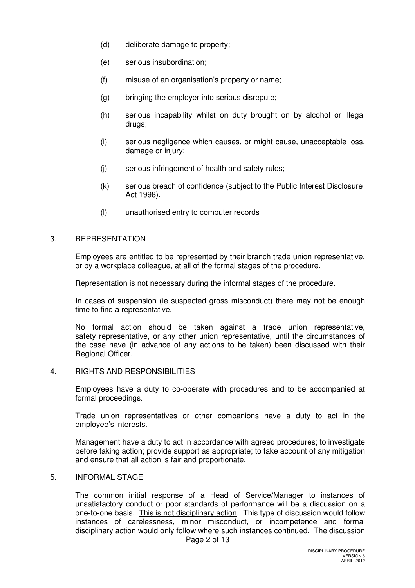- (d) deliberate damage to property;
- (e) serious insubordination;
- (f) misuse of an organisation's property or name;
- (g) bringing the employer into serious disrepute;
- (h) serious incapability whilst on duty brought on by alcohol or illegal drugs;
- (i) serious negligence which causes, or might cause, unacceptable loss, damage or injury;
- (j) serious infringement of health and safety rules;
- (k) serious breach of confidence (subject to the Public Interest Disclosure Act 1998).
- (l) unauthorised entry to computer records

# 3. REPRESENTATION

 Employees are entitled to be represented by their branch trade union representative, or by a workplace colleague, at all of the formal stages of the procedure.

Representation is not necessary during the informal stages of the procedure.

In cases of suspension (ie suspected gross misconduct) there may not be enough time to find a representative.

 No formal action should be taken against a trade union representative, safety representative, or any other union representative, until the circumstances of the case have (in advance of any actions to be taken) been discussed with their Regional Officer.

4. RIGHTS AND RESPONSIBILITIES

 Employees have a duty to co-operate with procedures and to be accompanied at formal proceedings.

 Trade union representatives or other companions have a duty to act in the employee's interests.

 Management have a duty to act in accordance with agreed procedures; to investigate before taking action; provide support as appropriate; to take account of any mitigation and ensure that all action is fair and proportionate.

# 5. INFORMAL STAGE

 The common initial response of a Head of Service/Manager to instances of unsatisfactory conduct or poor standards of performance will be a discussion on a one-to-one basis. This is not disciplinary action. This type of discussion would follow instances of carelessness, minor misconduct, or incompetence and formal disciplinary action would only follow where such instances continued. The discussion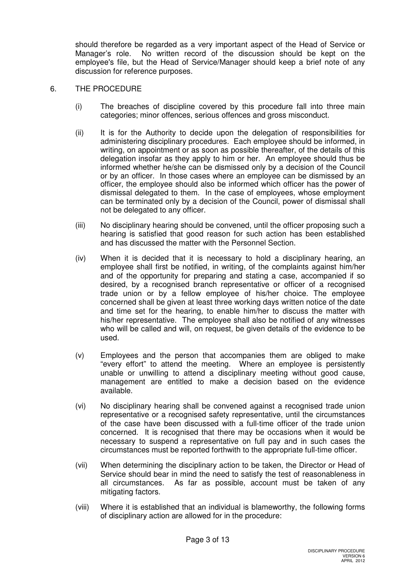should therefore be regarded as a very important aspect of the Head of Service or Manager's role. No written record of the discussion should be kept on the employee's file, but the Head of Service/Manager should keep a brief note of any discussion for reference purposes.

# 6. THE PROCEDURE

- (i) The breaches of discipline covered by this procedure fall into three main categories; minor offences, serious offences and gross misconduct.
- (ii) It is for the Authority to decide upon the delegation of responsibilities for administering disciplinary procedures. Each employee should be informed, in writing, on appointment or as soon as possible thereafter, of the details of this delegation insofar as they apply to him or her. An employee should thus be informed whether he/she can be dismissed only by a decision of the Council or by an officer. In those cases where an employee can be dismissed by an officer, the employee should also be informed which officer has the power of dismissal delegated to them. In the case of employees, whose employment can be terminated only by a decision of the Council, power of dismissal shall not be delegated to any officer.
- (iii) No disciplinary hearing should be convened, until the officer proposing such a hearing is satisfied that good reason for such action has been established and has discussed the matter with the Personnel Section.
- (iv) When it is decided that it is necessary to hold a disciplinary hearing, an employee shall first be notified, in writing, of the complaints against him/her and of the opportunity for preparing and stating a case, accompanied if so desired, by a recognised branch representative or officer of a recognised trade union or by a fellow employee of his/her choice. The employee concerned shall be given at least three working days written notice of the date and time set for the hearing, to enable him/her to discuss the matter with his/her representative. The employee shall also be notified of any witnesses who will be called and will, on request, be given details of the evidence to be used.
- (v) Employees and the person that accompanies them are obliged to make "every effort" to attend the meeting. Where an employee is persistently unable or unwilling to attend a disciplinary meeting without good cause, management are entitled to make a decision based on the evidence available.
- (vi) No disciplinary hearing shall be convened against a recognised trade union representative or a recognised safety representative, until the circumstances of the case have been discussed with a full-time officer of the trade union concerned. It is recognised that there may be occasions when it would be necessary to suspend a representative on full pay and in such cases the circumstances must be reported forthwith to the appropriate full-time officer.
- (vii) When determining the disciplinary action to be taken, the Director or Head of Service should bear in mind the need to satisfy the test of reasonableness in all circumstances. As far as possible, account must be taken of any mitigating factors.
- (viii) Where it is established that an individual is blameworthy, the following forms of disciplinary action are allowed for in the procedure: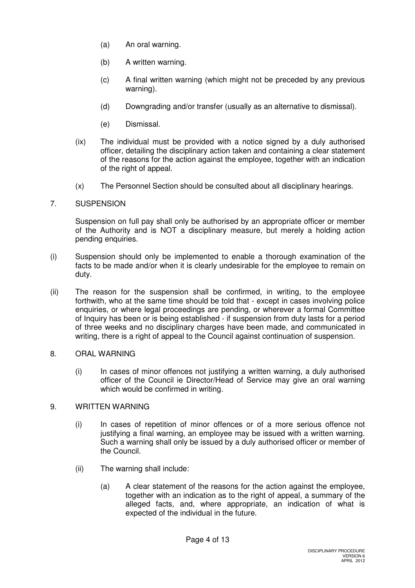- (a) An oral warning.
- (b) A written warning.
- (c) A final written warning (which might not be preceded by any previous warning).
- (d) Downgrading and/or transfer (usually as an alternative to dismissal).
- (e) Dismissal.
- (ix) The individual must be provided with a notice signed by a duly authorised officer, detailing the disciplinary action taken and containing a clear statement of the reasons for the action against the employee, together with an indication of the right of appeal.
- (x) The Personnel Section should be consulted about all disciplinary hearings.

# 7. SUSPENSION

 Suspension on full pay shall only be authorised by an appropriate officer or member of the Authority and is NOT a disciplinary measure, but merely a holding action pending enquiries.

- (i) Suspension should only be implemented to enable a thorough examination of the facts to be made and/or when it is clearly undesirable for the employee to remain on duty.
- (ii) The reason for the suspension shall be confirmed, in writing, to the employee forthwith, who at the same time should be told that - except in cases involving police enquiries, or where legal proceedings are pending, or wherever a formal Committee of Inquiry has been or is being established - if suspension from duty lasts for a period of three weeks and no disciplinary charges have been made, and communicated in writing, there is a right of appeal to the Council against continuation of suspension.

# 8. ORAL WARNING

(i) In cases of minor offences not justifying a written warning, a duly authorised officer of the Council ie Director/Head of Service may give an oral warning which would be confirmed in writing.

# 9. WRITTEN WARNING

- (i) In cases of repetition of minor offences or of a more serious offence not justifying a final warning, an employee may be issued with a written warning. Such a warning shall only be issued by a duly authorised officer or member of the Council.
- (ii) The warning shall include:
	- (a) A clear statement of the reasons for the action against the employee, together with an indication as to the right of appeal, a summary of the alleged facts, and, where appropriate, an indication of what is expected of the individual in the future.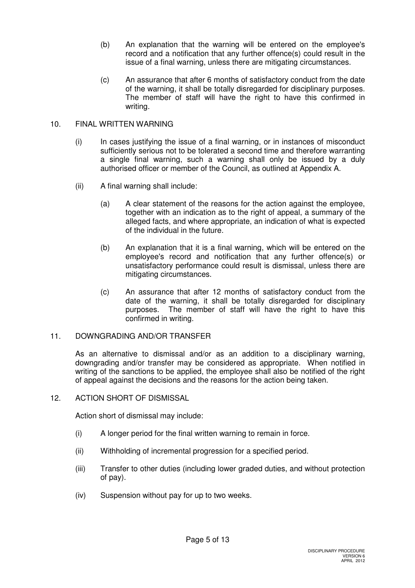- (b) An explanation that the warning will be entered on the employee's record and a notification that any further offence(s) could result in the issue of a final warning, unless there are mitigating circumstances.
- (c) An assurance that after 6 months of satisfactory conduct from the date of the warning, it shall be totally disregarded for disciplinary purposes. The member of staff will have the right to have this confirmed in writing.

# 10. FINAL WRITTEN WARNING

- (i) In cases justifying the issue of a final warning, or in instances of misconduct sufficiently serious not to be tolerated a second time and therefore warranting a single final warning, such a warning shall only be issued by a duly authorised officer or member of the Council, as outlined at Appendix A.
- (ii) A final warning shall include:
	- (a) A clear statement of the reasons for the action against the employee, together with an indication as to the right of appeal, a summary of the alleged facts, and where appropriate, an indication of what is expected of the individual in the future.
	- (b) An explanation that it is a final warning, which will be entered on the employee's record and notification that any further offence(s) or unsatisfactory performance could result is dismissal, unless there are mitigating circumstances.
	- (c) An assurance that after 12 months of satisfactory conduct from the date of the warning, it shall be totally disregarded for disciplinary purposes. The member of staff will have the right to have this confirmed in writing.

# 11. DOWNGRADING AND/OR TRANSFER

 As an alternative to dismissal and/or as an addition to a disciplinary warning, downgrading and/or transfer may be considered as appropriate. When notified in writing of the sanctions to be applied, the employee shall also be notified of the right of appeal against the decisions and the reasons for the action being taken.

# 12. ACTION SHORT OF DISMISSAL

Action short of dismissal may include:

- (i) A longer period for the final written warning to remain in force.
- (ii) Withholding of incremental progression for a specified period.
- (iii) Transfer to other duties (including lower graded duties, and without protection of pay).
- (iv) Suspension without pay for up to two weeks.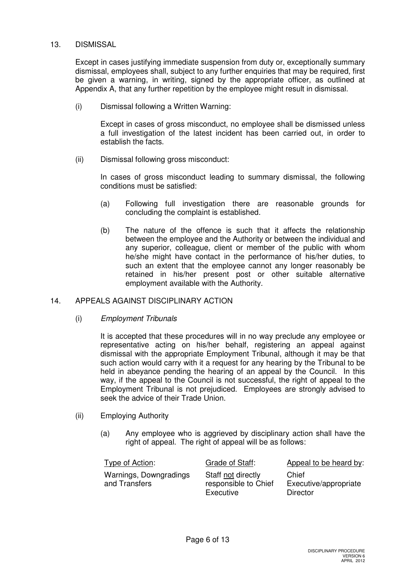# 13. DISMISSAL

 Except in cases justifying immediate suspension from duty or, exceptionally summary dismissal, employees shall, subject to any further enquiries that may be required, first be given a warning, in writing, signed by the appropriate officer, as outlined at Appendix A, that any further repetition by the employee might result in dismissal.

(i) Dismissal following a Written Warning:

 Except in cases of gross misconduct, no employee shall be dismissed unless a full investigation of the latest incident has been carried out, in order to establish the facts.

(ii) Dismissal following gross misconduct:

 In cases of gross misconduct leading to summary dismissal, the following conditions must be satisfied:

- (a) Following full investigation there are reasonable grounds for concluding the complaint is established.
- (b) The nature of the offence is such that it affects the relationship between the employee and the Authority or between the individual and any superior, colleague, client or member of the public with whom he/she might have contact in the performance of his/her duties, to such an extent that the employee cannot any longer reasonably be retained in his/her present post or other suitable alternative employment available with the Authority.

# 14. APPEALS AGAINST DISCIPLINARY ACTION

(i) Employment Tribunals

 It is accepted that these procedures will in no way preclude any employee or representative acting on his/her behalf, registering an appeal against dismissal with the appropriate Employment Tribunal, although it may be that such action would carry with it a request for any hearing by the Tribunal to be held in abeyance pending the hearing of an appeal by the Council. In this way, if the appeal to the Council is not successful, the right of appeal to the Employment Tribunal is not prejudiced. Employees are strongly advised to seek the advice of their Trade Union.

- (ii) Employing Authority
	- (a) Any employee who is aggrieved by disciplinary action shall have the right of appeal. The right of appeal will be as follows:

| Type of Action:                         | Grade of Staff:                                         | Appeal to be heard by:                     |
|-----------------------------------------|---------------------------------------------------------|--------------------------------------------|
| Warnings, Downgradings<br>and Transfers | Staff not directly<br>responsible to Chief<br>Executive | Chief<br>Executive/appropriate<br>Director |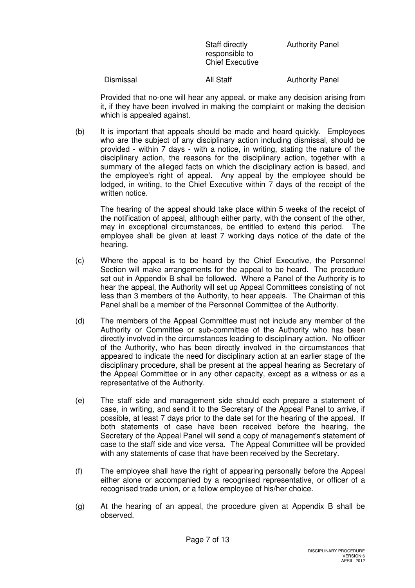Staff directly responsible to Chief Executive Authority Panel

Dismissal **All Staff** Authority Panel

 Provided that no-one will hear any appeal, or make any decision arising from it, if they have been involved in making the complaint or making the decision which is appealed against.

(b) It is important that appeals should be made and heard quickly. Employees who are the subject of any disciplinary action including dismissal, should be provided - within 7 days - with a notice, in writing, stating the nature of the disciplinary action, the reasons for the disciplinary action, together with a summary of the alleged facts on which the disciplinary action is based, and the employee's right of appeal. Any appeal by the employee should be lodged, in writing, to the Chief Executive within 7 days of the receipt of the written notice.

 The hearing of the appeal should take place within 5 weeks of the receipt of the notification of appeal, although either party, with the consent of the other, may in exceptional circumstances, be entitled to extend this period. The employee shall be given at least 7 working days notice of the date of the hearing.

- (c) Where the appeal is to be heard by the Chief Executive, the Personnel Section will make arrangements for the appeal to be heard. The procedure set out in Appendix B shall be followed. Where a Panel of the Authority is to hear the appeal, the Authority will set up Appeal Committees consisting of not less than 3 members of the Authority, to hear appeals. The Chairman of this Panel shall be a member of the Personnel Committee of the Authority.
- (d) The members of the Appeal Committee must not include any member of the Authority or Committee or sub-committee of the Authority who has been directly involved in the circumstances leading to disciplinary action. No officer of the Authority, who has been directly involved in the circumstances that appeared to indicate the need for disciplinary action at an earlier stage of the disciplinary procedure, shall be present at the appeal hearing as Secretary of the Appeal Committee or in any other capacity, except as a witness or as a representative of the Authority.
- (e) The staff side and management side should each prepare a statement of case, in writing, and send it to the Secretary of the Appeal Panel to arrive, if possible, at least 7 days prior to the date set for the hearing of the appeal. If both statements of case have been received before the hearing, the Secretary of the Appeal Panel will send a copy of management's statement of case to the staff side and vice versa. The Appeal Committee will be provided with any statements of case that have been received by the Secretary.
- (f) The employee shall have the right of appearing personally before the Appeal either alone or accompanied by a recognised representative, or officer of a recognised trade union, or a fellow employee of his/her choice.
- (g) At the hearing of an appeal, the procedure given at Appendix B shall be observed.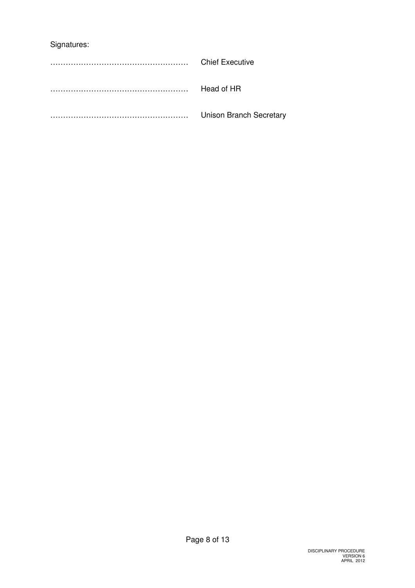# Signatures:

| <b>Chief Executive</b>         |
|--------------------------------|
| Head of HR                     |
| <b>Unison Branch Secretary</b> |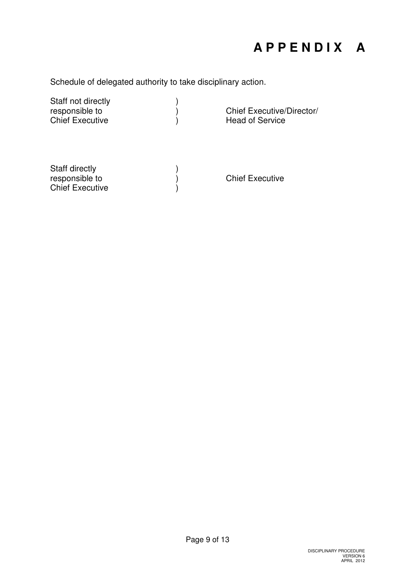# **A P P E N D I X A**

Schedule of delegated authority to take disciplinary action.

| Staff not directly<br>responsible to<br><b>Chief Executive</b> | Chief Executive/Director/<br><b>Head of Service</b> |
|----------------------------------------------------------------|-----------------------------------------------------|
| Staff directly<br>responsible to<br><b>Chief Executive</b>     | <b>Chief Executive</b>                              |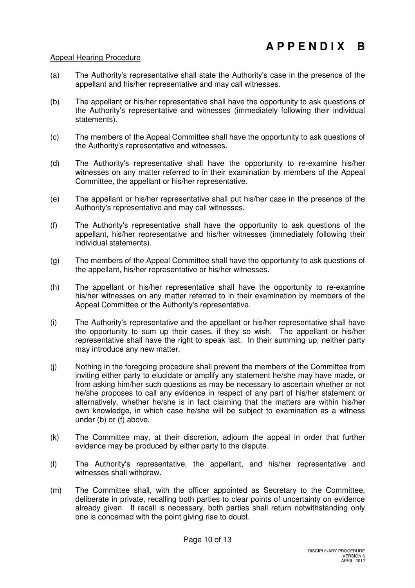# Appeal Hearing Procedure

- (a) The Authority's representative shall state the Authority's case in the presence of the appellant and his/her representative and may call witnesses.
- (b) The appellant or his/her representative shall have the opportunity to ask questions of the Authority's representative and witnesses (immediately following their individual statements).
- (c) The members of the Appeal Committee shall have the opportunity to ask questions of the Authority's representative and witnesses.
- (d) The Authority's representative shall have the opportunity to re-examine his/her witnesses on any matter referred to in their examination by members of the Appeal Committee, the appellant or his/her representative.
- (e) The appellant or his/her representative shall put his/her case in the presence of the Authority's representative and may call witnesses.
- (f) The Authority's representative shall have the opportunity to ask questions of the appellant, his/her representative and his/her witnesses (immediately following their individual statements).
- (g) The members of the Appeal Committee shall have the opportunity to ask questions of the appellant, his/her representative or his/her witnesses.
- (h) The appellant or his/her representative shall have the opportunity to re-examine his/her witnesses on any matter referred to in their examination by members of the Appeal Committee or the Authority's representative.
- (i) The Authority's representative and the appellant or his/her representative shall have the opportunity to sum up their cases, if they so wish. The appellant or his/her representative shall have the right to speak last. In their summing up, neither party may introduce any new matter.
- (j) Nothing in the foregoing procedure shall prevent the members of the Committee from inviting either party to elucidate or amplify any statement he/she may have made, or from asking him/her such questions as may be necessary to ascertain whether or not he/she proposes to call any evidence in respect of any part of his/her statement or alternatively, whether he/she is in fact claiming that the matters are within his/her own knowledge, in which case he/she will be subject to examination as a witness under (b) or (f) above.
- (k) The Committee may, at their discretion, adjourn the appeal in order that further evidence may be produced by either party to the dispute.
- (l) The Authority's representative, the appellant, and his/her representative and witnesses shall withdraw.
- (m) The Committee shall, with the officer appointed as Secretary to the Committee, deliberate in private, recalling both parties to clear points of uncertainty on evidence already given. If recall is necessary, both parties shall return notwithstanding only one is concerned with the point giving rise to doubt.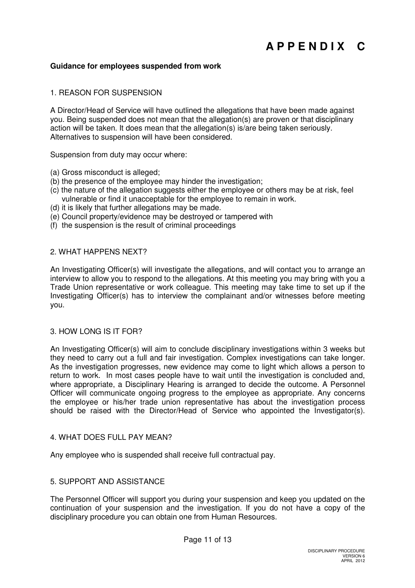# **Guidance for employees suspended from work**

# 1. REASON FOR SUSPENSION

A Director/Head of Service will have outlined the allegations that have been made against you. Being suspended does not mean that the allegation(s) are proven or that disciplinary action will be taken. It does mean that the allegation(s) is/are being taken seriously. Alternatives to suspension will have been considered.

Suspension from duty may occur where:

- (a) Gross misconduct is alleged;
- (b) the presence of the employee may hinder the investigation;
- (c) the nature of the allegation suggests either the employee or others may be at risk, feel vulnerable or find it unacceptable for the employee to remain in work.
- (d) it is likely that further allegations may be made.
- (e) Council property/evidence may be destroyed or tampered with
- (f) the suspension is the result of criminal proceedings

## 2. WHAT HAPPENS NEXT?

An Investigating Officer(s) will investigate the allegations, and will contact you to arrange an interview to allow you to respond to the allegations. At this meeting you may bring with you a Trade Union representative or work colleague. This meeting may take time to set up if the Investigating Officer(s) has to interview the complainant and/or witnesses before meeting you.

## 3. HOW LONG IS IT FOR?

An Investigating Officer(s) will aim to conclude disciplinary investigations within 3 weeks but they need to carry out a full and fair investigation. Complex investigations can take longer. As the investigation progresses, new evidence may come to light which allows a person to return to work. In most cases people have to wait until the investigation is concluded and, where appropriate, a Disciplinary Hearing is arranged to decide the outcome. A Personnel Officer will communicate ongoing progress to the employee as appropriate. Any concerns the employee or his/her trade union representative has about the investigation process should be raised with the Director/Head of Service who appointed the Investigator(s).

## 4. WHAT DOES FULL PAY MEAN?

Any employee who is suspended shall receive full contractual pay.

# 5. SUPPORT AND ASSISTANCE

The Personnel Officer will support you during your suspension and keep you updated on the continuation of your suspension and the investigation. If you do not have a copy of the disciplinary procedure you can obtain one from Human Resources.